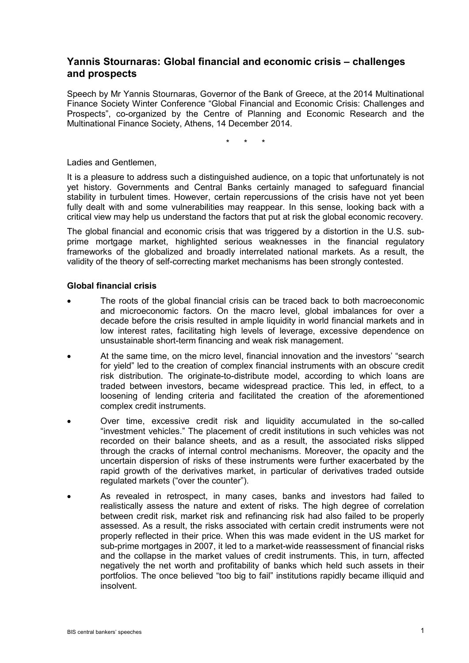# **Yannis Stournaras: Global financial and economic crisis – challenges and prospects**

Speech by Mr Yannis Stournaras, Governor of the Bank of Greece, at the 2014 Multinational Finance Society Winter Conference "Global Financial and Economic Crisis: Challenges and Prospects", co-organized by the Centre of Planning and Economic Research and the Multinational Finance Society, Athens, 14 December 2014.

\* \* \*

Ladies and Gentlemen,

It is a pleasure to address such a distinguished audience, on a topic that unfortunately is not yet history. Governments and Central Banks certainly managed to safeguard financial stability in turbulent times. However, certain repercussions of the crisis have not yet been fully dealt with and some vulnerabilities may reappear. In this sense, looking back with a critical view may help us understand the factors that put at risk the global economic recovery.

The global financial and economic crisis that was triggered by a distortion in the U.S. subprime mortgage market, highlighted serious weaknesses in the financial regulatory frameworks of the globalized and broadly interrelated national markets. As a result, the validity of the theory of self-correcting market mechanisms has been strongly contested.

### **Global financial crisis**

- The roots of the global financial crisis can be traced back to both macroeconomic and microeconomic factors. On the macro level, global imbalances for over a decade before the crisis resulted in ample liquidity in world financial markets and in low interest rates, facilitating high levels of leverage, excessive dependence on unsustainable short-term financing and weak risk management.
- At the same time, on the micro level, financial innovation and the investors' "search for yield" led to the creation of complex financial instruments with an obscure credit risk distribution. The originate-to-distribute model, according to which loans are traded between investors, became widespread practice. This led, in effect, to a loosening of lending criteria and facilitated the creation of the aforementioned complex credit instruments.
- Over time, excessive credit risk and liquidity accumulated in the so-called "investment vehicles." The placement of credit institutions in such vehicles was not recorded on their balance sheets, and as a result, the associated risks slipped through the cracks of internal control mechanisms. Moreover, the opacity and the uncertain dispersion of risks of these instruments were further exacerbated by the rapid growth of the derivatives market, in particular of derivatives traded outside regulated markets ("over the counter").
- As revealed in retrospect, in many cases, banks and investors had failed to realistically assess the nature and extent of risks. The high degree of correlation between credit risk, market risk and refinancing risk had also failed to be properly assessed. As a result, the risks associated with certain credit instruments were not properly reflected in their price. When this was made evident in the US market for sub-prime mortgages in 2007, it led to a market-wide reassessment of financial risks and the collapse in the market values of credit instruments. This, in turn, affected negatively the net worth and profitability of banks which held such assets in their portfolios. The once believed "too big to fail" institutions rapidly became illiquid and insolvent.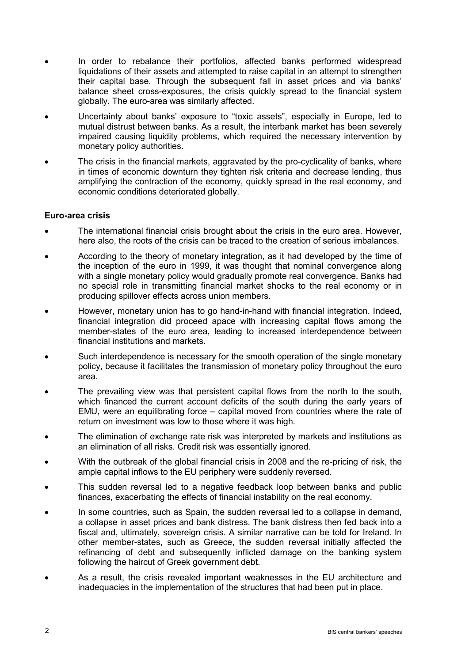- In order to rebalance their portfolios, affected banks performed widespread liquidations of their assets and attempted to raise capital in an attempt to strengthen their capital base. Through the subsequent fall in asset prices and via banks' balance sheet cross-exposures, the crisis quickly spread to the financial system globally. The euro-area was similarly affected.
- Uncertainty about banks' exposure to "toxic assets", especially in Europe, led to mutual distrust between banks. As a result, the interbank market has been severely impaired causing liquidity problems, which required the necessary intervention by monetary policy authorities.
- The crisis in the financial markets, aggravated by the pro-cyclicality of banks, where in times of economic downturn they tighten risk criteria and decrease lending, thus amplifying the contraction of the economy, quickly spread in the real economy, and economic conditions deteriorated globally.

# **Euro-area crisis**

- The international financial crisis brought about the crisis in the euro area. However, here also, the roots of the crisis can be traced to the creation of serious imbalances.
- According to the theory of monetary integration, as it had developed by the time of the inception of the euro in 1999, it was thought that nominal convergence along with a single monetary policy would gradually promote real convergence. Banks had no special role in transmitting financial market shocks to the real economy or in producing spillover effects across union members.
- However, monetary union has to go hand-in-hand with financial integration. Indeed, financial integration did proceed apace with increasing capital flows among the member-states of the euro area, leading to increased interdependence between financial institutions and markets.
- Such interdependence is necessary for the smooth operation of the single monetary policy, because it facilitates the transmission of monetary policy throughout the euro area.
- The prevailing view was that persistent capital flows from the north to the south, which financed the current account deficits of the south during the early years of EMU, were an equilibrating force – capital moved from countries where the rate of return on investment was low to those where it was high.
- The elimination of exchange rate risk was interpreted by markets and institutions as an elimination of all risks. Credit risk was essentially ignored.
- With the outbreak of the global financial crisis in 2008 and the re-pricing of risk, the ample capital inflows to the EU periphery were suddenly reversed.
- This sudden reversal led to a negative feedback loop between banks and public finances, exacerbating the effects of financial instability on the real economy.
- In some countries, such as Spain, the sudden reversal led to a collapse in demand, a collapse in asset prices and bank distress. The bank distress then fed back into a fiscal and, ultimately, sovereign crisis. A similar narrative can be told for Ireland. In other member-states, such as Greece, the sudden reversal initially affected the refinancing of debt and subsequently inflicted damage on the banking system following the haircut of Greek government debt.
- As a result, the crisis revealed important weaknesses in the EU architecture and inadequacies in the implementation of the structures that had been put in place.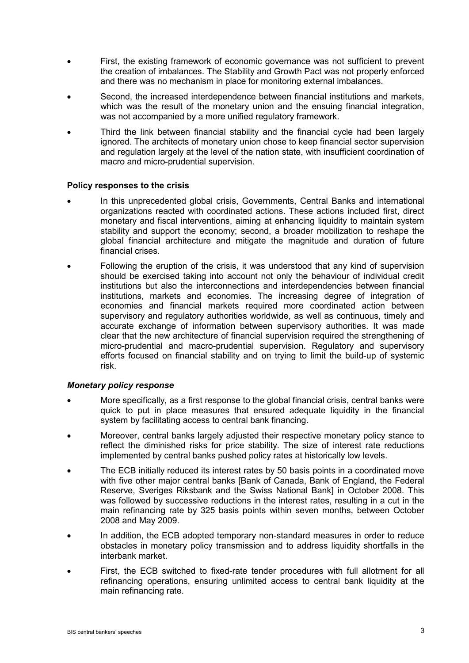- First, the existing framework of economic governance was not sufficient to prevent the creation of imbalances. The Stability and Growth Pact was not properly enforced and there was no mechanism in place for monitoring external imbalances.
- Second, the increased interdependence between financial institutions and markets, which was the result of the monetary union and the ensuing financial integration, was not accompanied by a more unified regulatory framework.
- Third the link between financial stability and the financial cycle had been largely ignored. The architects of monetary union chose to keep financial sector supervision and regulation largely at the level of the nation state, with insufficient coordination of macro and micro-prudential supervision.

### **Policy responses to the crisis**

- In this unprecedented global crisis, Governments, Central Banks and international organizations reacted with coordinated actions. These actions included first, direct monetary and fiscal interventions, aiming at enhancing liquidity to maintain system stability and support the economy; second, a broader mobilization to reshape the global financial architecture and mitigate the magnitude and duration of future financial crises.
- Following the eruption of the crisis, it was understood that any kind of supervision should be exercised taking into account not only the behaviour of individual credit institutions but also the interconnections and interdependencies between financial institutions, markets and economies. The increasing degree of integration of economies and financial markets required more coordinated action between supervisory and regulatory authorities worldwide, as well as continuous, timely and accurate exchange of information between supervisory authorities. It was made clear that the new architecture of financial supervision required the strengthening of micro-prudential and macro-prudential supervision. Regulatory and supervisory efforts focused on financial stability and on trying to limit the build-up of systemic risk.

#### *Monetary policy response*

- More specifically, as a first response to the global financial crisis, central banks were quick to put in place measures that ensured adequate liquidity in the financial system by facilitating access to central bank financing.
- Moreover, central banks largely adjusted their respective monetary policy stance to reflect the diminished risks for price stability. The size of interest rate reductions implemented by central banks pushed policy rates at historically low levels.
- The ECB initially reduced its interest rates by 50 basis points in a coordinated move with five other major central banks [Bank of Canada, Bank of England, the Federal Reserve, Sveriges Riksbank and the Swiss National Bank] in October 2008. This was followed by successive reductions in the interest rates, resulting in a cut in the main refinancing rate by 325 basis points within seven months, between October 2008 and May 2009.
- In addition, the ECB adopted temporary non-standard measures in order to reduce obstacles in monetary policy transmission and to address liquidity shortfalls in the interbank market.
- First, the ECB switched to fixed-rate tender procedures with full allotment for all refinancing operations, ensuring unlimited access to central bank liquidity at the main refinancing rate.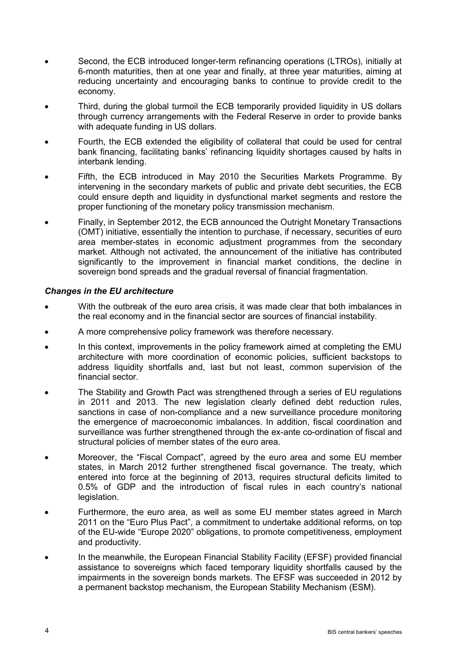- Second, the ECB introduced longer-term refinancing operations (LTROs), initially at 6-month maturities, then at one year and finally, at three year maturities, aiming at reducing uncertainty and encouraging banks to continue to provide credit to the economy.
- Third, during the global turmoil the ECB temporarily provided liquidity in US dollars through currency arrangements with the Federal Reserve in order to provide banks with adequate funding in US dollars.
- Fourth, the ECB extended the eligibility of collateral that could be used for central bank financing, facilitating banks' refinancing liquidity shortages caused by halts in interbank lending.
- Fifth, the ECB introduced in May 2010 the Securities Markets Programme. By intervening in the secondary markets of public and private debt securities, the ECB could ensure depth and liquidity in dysfunctional market segments and restore the proper functioning of the monetary policy transmission mechanism.
- Finally, in September 2012, the ECB announced the Outright Monetary Transactions (OMT) initiative, essentially the intention to purchase, if necessary, securities of euro area member-states in economic adjustment programmes from the secondary market. Although not activated, the announcement of the initiative has contributed significantly to the improvement in financial market conditions, the decline in sovereign bond spreads and the gradual reversal of financial fragmentation.

# *Changes in the EU architecture*

- With the outbreak of the euro area crisis, it was made clear that both imbalances in the real economy and in the financial sector are sources of financial instability.
- A more comprehensive policy framework was therefore necessary.
- In this context, improvements in the policy framework aimed at completing the EMU architecture with more coordination of economic policies, sufficient backstops to address liquidity shortfalls and, last but not least, common supervision of the financial sector.
- The Stability and Growth Pact was strengthened through a series of EU regulations in 2011 and 2013. The new legislation clearly defined debt reduction rules, sanctions in case of non-compliance and a new surveillance procedure monitoring the emergence of macroeconomic imbalances. In addition, fiscal coordination and surveillance was further strengthened through the ex-ante co-ordination of fiscal and structural policies of member states of the euro area.
- Moreover, the "Fiscal Compact", agreed by the euro area and some EU member states, in March 2012 further strengthened fiscal governance. The treaty, which entered into force at the beginning of 2013, requires structural deficits limited to 0.5% of GDP and the introduction of fiscal rules in each country's national legislation.
- Furthermore, the euro area, as well as some EU member states agreed in March 2011 on the "Euro Plus Pact", a commitment to undertake additional reforms, on top of the EU-wide "Europe 2020" obligations, to promote competitiveness, employment and productivity.
- In the meanwhile, the European Financial Stability Facility (EFSF) provided financial assistance to sovereigns which faced temporary liquidity shortfalls caused by the impairments in the sovereign bonds markets. The EFSF was succeeded in 2012 by a permanent backstop mechanism, the European Stability Mechanism (ESM).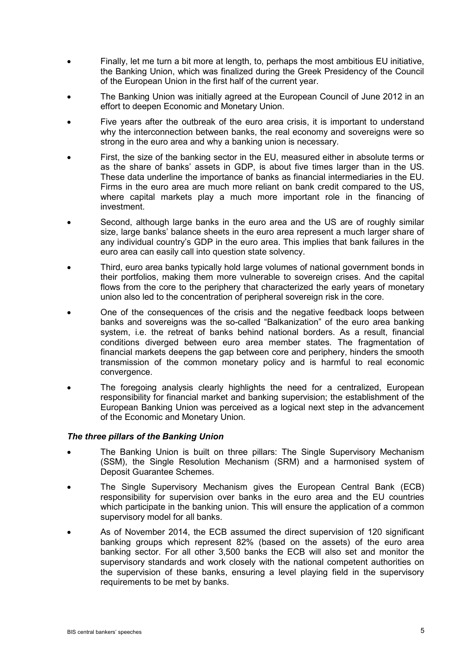- Finally, let me turn a bit more at length, to, perhaps the most ambitious EU initiative, the Banking Union, which was finalized during the Greek Presidency of the Council of the European Union in the first half of the current year.
- The Banking Union was initially agreed at the European Council of June 2012 in an effort to deepen Economic and Monetary Union.
- Five years after the outbreak of the euro area crisis, it is important to understand why the interconnection between banks, the real economy and sovereigns were so strong in the euro area and why a banking union is necessary.
- First, the size of the banking sector in the EU, measured either in absolute terms or as the share of banks' assets in GDP, is about five times larger than in the US. These data underline the importance of banks as financial intermediaries in the EU. Firms in the euro area are much more reliant on bank credit compared to the US, where capital markets play a much more important role in the financing of investment.
- Second, although large banks in the euro area and the US are of roughly similar size, large banks' balance sheets in the euro area represent a much larger share of any individual country's GDP in the euro area. This implies that bank failures in the euro area can easily call into question state solvency.
- Third, euro area banks typically hold large volumes of national government bonds in their portfolios, making them more vulnerable to sovereign crises. And the capital flows from the core to the periphery that characterized the early years of monetary union also led to the concentration of peripheral sovereign risk in the core.
- One of the consequences of the crisis and the negative feedback loops between banks and sovereigns was the so-called "Balkanization" of the euro area banking system, i.e. the retreat of banks behind national borders. As a result, financial conditions diverged between euro area member states. The fragmentation of financial markets deepens the gap between core and periphery, hinders the smooth transmission of the common monetary policy and is harmful to real economic convergence.
- The foregoing analysis clearly highlights the need for a centralized, European responsibility for financial market and banking supervision; the establishment of the European Banking Union was perceived as a logical next step in the advancement of the Economic and Monetary Union.

# *The three pillars of the Banking Union*

- The Banking Union is built on three pillars: The Single Supervisory Mechanism (SSM), the Single Resolution Mechanism (SRM) and a harmonised system of Deposit Guarantee Schemes.
- The Single Supervisory Mechanism gives the European Central Bank (ECB) responsibility for supervision over banks in the euro area and the EU countries which participate in the banking union. This will ensure the application of a common supervisory model for all banks.
- As of November 2014, the ECB assumed the direct supervision of 120 significant banking groups which represent 82% (based on the assets) of the euro area banking sector. For all other 3,500 banks the ECB will also set and monitor the supervisory standards and work closely with the national competent authorities on the supervision of these banks, ensuring a level playing field in the supervisory requirements to be met by banks.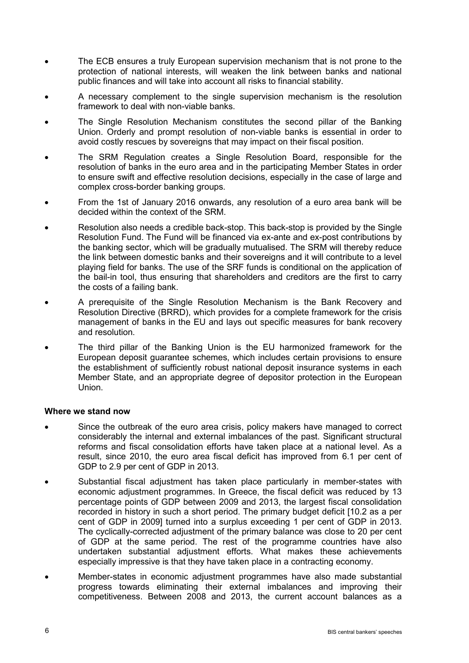- The ECB ensures a truly European supervision mechanism that is not prone to the protection of national interests, will weaken the link between banks and national public finances and will take into account all risks to financial stability.
- A necessary complement to the single supervision mechanism is the resolution framework to deal with non-viable banks.
- The Single Resolution Mechanism constitutes the second pillar of the Banking Union. Orderly and prompt resolution of non-viable banks is essential in order to avoid costly rescues by sovereigns that may impact on their fiscal position.
- The SRM Regulation creates a Single Resolution Board, responsible for the resolution of banks in the euro area and in the participating Member States in order to ensure swift and effective resolution decisions, especially in the case of large and complex cross-border banking groups.
- From the 1st of January 2016 onwards, any resolution of a euro area bank will be decided within the context of the SRM.
- Resolution also needs a credible back-stop. This back-stop is provided by the Single Resolution Fund. The Fund will be financed via ex-ante and ex-post contributions by the banking sector, which will be gradually mutualised. The SRM will thereby reduce the link between domestic banks and their sovereigns and it will contribute to a level playing field for banks. The use of the SRF funds is conditional on the application of the bail-in tool, thus ensuring that shareholders and creditors are the first to carry the costs of a failing bank.
- A prerequisite of the Single Resolution Mechanism is the Bank Recovery and Resolution Directive (BRRD), which provides for a complete framework for the crisis management of banks in the EU and lays out specific measures for bank recovery and resolution.
- The third pillar of the Banking Union is the EU harmonized framework for the European deposit guarantee schemes, which includes certain provisions to ensure the establishment of sufficiently robust national deposit insurance systems in each Member State, and an appropriate degree of depositor protection in the European Union.

#### **Where we stand now**

- Since the outbreak of the euro area crisis, policy makers have managed to correct considerably the internal and external imbalances of the past. Significant structural reforms and fiscal consolidation efforts have taken place at a national level. As a result, since 2010, the euro area fiscal deficit has improved from 6.1 per cent of GDP to 2.9 per cent of GDP in 2013.
- Substantial fiscal adjustment has taken place particularly in member-states with economic adjustment programmes. In Greece, the fiscal deficit was reduced by 13 percentage points of GDP between 2009 and 2013, the largest fiscal consolidation recorded in history in such a short period. The primary budget deficit [10.2 as a per cent of GDP in 2009] turned into a surplus exceeding 1 per cent of GDP in 2013. The cyclically-corrected adjustment of the primary balance was close to 20 per cent of GDP at the same period. The rest of the programme countries have also undertaken substantial adjustment efforts. What makes these achievements especially impressive is that they have taken place in a contracting economy.
- Member-states in economic adjustment programmes have also made substantial progress towards eliminating their external imbalances and improving their competitiveness. Between 2008 and 2013, the current account balances as a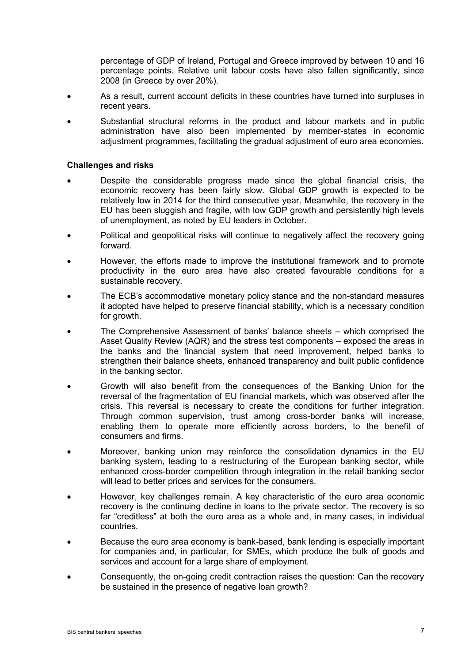percentage of GDP of Ireland, Portugal and Greece improved by between 10 and 16 percentage points. Relative unit labour costs have also fallen significantly, since 2008 (in Greece by over 20%).

- As a result, current account deficits in these countries have turned into surpluses in recent years.
- Substantial structural reforms in the product and labour markets and in public administration have also been implemented by member-states in economic adjustment programmes, facilitating the gradual adjustment of euro area economies.

### **Challenges and risks**

- Despite the considerable progress made since the global financial crisis, the economic recovery has been fairly slow. Global GDP growth is expected to be relatively low in 2014 for the third consecutive year. Meanwhile, the recovery in the EU has been sluggish and fragile, with low GDP growth and persistently high levels of unemployment, as noted by EU leaders in October.
- Political and geopolitical risks will continue to negatively affect the recovery going forward.
- However, the efforts made to improve the institutional framework and to promote productivity in the euro area have also created favourable conditions for a sustainable recovery.
- The ECB's accommodative monetary policy stance and the non-standard measures it adopted have helped to preserve financial stability, which is a necessary condition for growth.
- The Comprehensive Assessment of banks' balance sheets which comprised the Asset Quality Review (AQR) and the stress test components – exposed the areas in the banks and the financial system that need improvement, helped banks to strengthen their balance sheets, enhanced transparency and built public confidence in the banking sector.
- Growth will also benefit from the consequences of the Banking Union for the reversal of the fragmentation of EU financial markets, which was observed after the crisis. This reversal is necessary to create the conditions for further integration. Through common supervision, trust among cross-border banks will increase, enabling them to operate more efficiently across borders, to the benefit of consumers and firms.
- Moreover, banking union may reinforce the consolidation dynamics in the EU banking system, leading to a restructuring of the European banking sector, while enhanced cross-border competition through integration in the retail banking sector will lead to better prices and services for the consumers.
- However, key challenges remain. A key characteristic of the euro area economic recovery is the continuing decline in loans to the private sector. The recovery is so far "creditless" at both the euro area as a whole and, in many cases, in individual countries.
- Because the euro area economy is bank-based, bank lending is especially important for companies and, in particular, for SMEs, which produce the bulk of goods and services and account for a large share of employment.
- Consequently, the on-going credit contraction raises the question: Can the recovery be sustained in the presence of negative loan growth?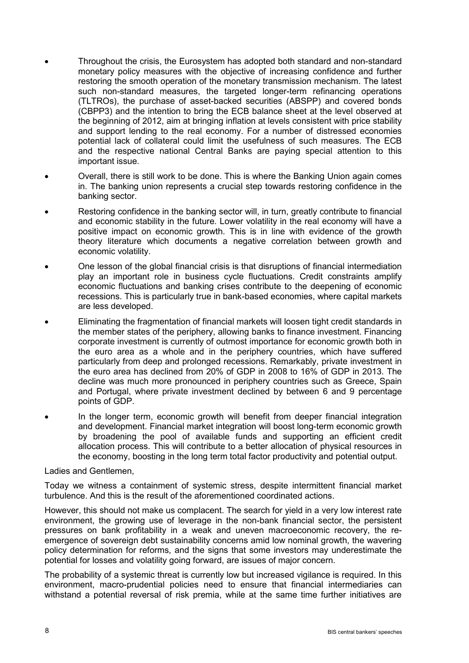- Throughout the crisis, the Eurosystem has adopted both standard and non-standard monetary policy measures with the objective of increasing confidence and further restoring the smooth operation of the monetary transmission mechanism. The latest such non-standard measures, the targeted longer-term refinancing operations (TLTROs), the purchase of asset-backed securities (ABSPP) and covered bonds (CBPP3) and the intention to bring the ECB balance sheet at the level observed at the beginning of 2012, aim at bringing inflation at levels consistent with price stability and support lending to the real economy. For a number of distressed economies potential lack of collateral could limit the usefulness of such measures. The ECB and the respective national Central Banks are paying special attention to this important issue.
- Overall, there is still work to be done. This is where the Banking Union again comes in. The banking union represents a crucial step towards restoring confidence in the banking sector.
- Restoring confidence in the banking sector will, in turn, greatly contribute to financial and economic stability in the future. Lower volatility in the real economy will have a positive impact on economic growth. This is in line with evidence of the growth theory literature which documents a negative correlation between growth and economic volatility.
- One lesson of the global financial crisis is that disruptions of financial intermediation play an important role in business cycle fluctuations. Credit constraints amplify economic fluctuations and banking crises contribute to the deepening of economic recessions. This is particularly true in bank-based economies, where capital markets are less developed.
- Eliminating the fragmentation of financial markets will loosen tight credit standards in the member states of the periphery, allowing banks to finance investment. Financing corporate investment is currently of outmost importance for economic growth both in the euro area as a whole and in the periphery countries, which have suffered particularly from deep and prolonged recessions. Remarkably, private investment in the euro area has declined from 20% of GDP in 2008 to 16% of GDP in 2013. The decline was much more pronounced in periphery countries such as Greece, Spain and Portugal, where private investment declined by between 6 and 9 percentage points of GDP.
- In the longer term, economic growth will benefit from deeper financial integration and development. Financial market integration will boost long-term economic growth by broadening the pool of available funds and supporting an efficient credit allocation process. This will contribute to a better allocation of physical resources in the economy, boosting in the long term total factor productivity and potential output.

#### Ladies and Gentlemen,

Today we witness a containment of systemic stress, despite intermittent financial market turbulence. And this is the result of the aforementioned coordinated actions.

However, this should not make us complacent. The search for yield in a very low interest rate environment, the growing use of leverage in the non-bank financial sector, the persistent pressures on bank profitability in a weak and uneven macroeconomic recovery, the reemergence of sovereign debt sustainability concerns amid low nominal growth, the wavering policy determination for reforms, and the signs that some investors may underestimate the potential for losses and volatility going forward, are issues of major concern.

The probability of a systemic threat is currently low but increased vigilance is required. In this environment, macro-prudential policies need to ensure that financial intermediaries can withstand a potential reversal of risk premia, while at the same time further initiatives are